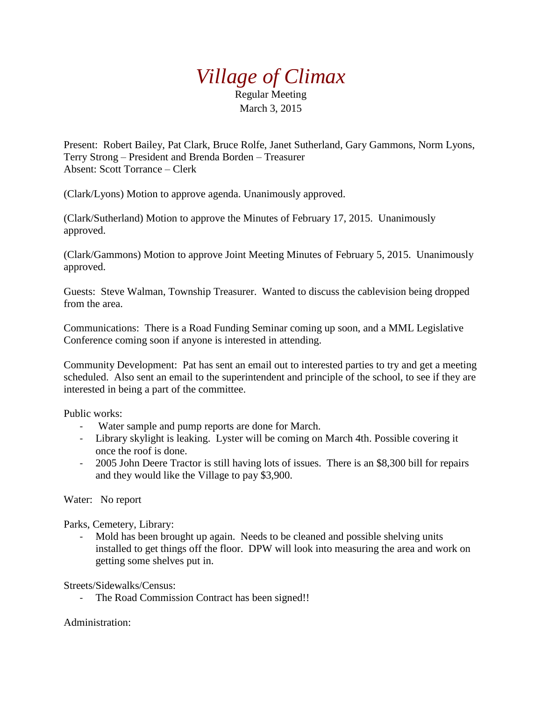## *Village of Climax*

Regular Meeting March 3, 2015

Present: Robert Bailey, Pat Clark, Bruce Rolfe, Janet Sutherland, Gary Gammons, Norm Lyons, Terry Strong – President and Brenda Borden – Treasurer Absent: Scott Torrance – Clerk

(Clark/Lyons) Motion to approve agenda. Unanimously approved.

(Clark/Sutherland) Motion to approve the Minutes of February 17, 2015. Unanimously approved.

(Clark/Gammons) Motion to approve Joint Meeting Minutes of February 5, 2015. Unanimously approved.

Guests: Steve Walman, Township Treasurer. Wanted to discuss the cablevision being dropped from the area.

Communications: There is a Road Funding Seminar coming up soon, and a MML Legislative Conference coming soon if anyone is interested in attending.

Community Development: Pat has sent an email out to interested parties to try and get a meeting scheduled. Also sent an email to the superintendent and principle of the school, to see if they are interested in being a part of the committee.

Public works:

- Water sample and pump reports are done for March.
- Library skylight is leaking. Lyster will be coming on March 4th. Possible covering it once the roof is done.
- 2005 John Deere Tractor is still having lots of issues. There is an \$8,300 bill for repairs and they would like the Village to pay \$3,900.

Water: No report

Parks, Cemetery, Library:

- Mold has been brought up again. Needs to be cleaned and possible shelving units installed to get things off the floor. DPW will look into measuring the area and work on getting some shelves put in.

Streets/Sidewalks/Census:

- The Road Commission Contract has been signed!!

Administration: